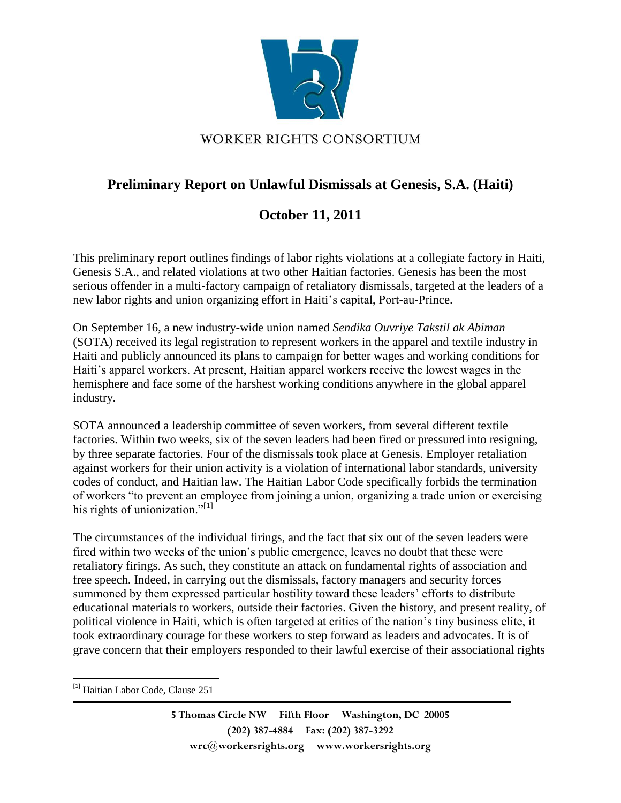

## **Preliminary Report on Unlawful Dismissals at Genesis, S.A. (Haiti)**

## **October 11, 2011**

This preliminary report outlines findings of labor rights violations at a collegiate factory in Haiti, Genesis S.A., and related violations at two other Haitian factories. Genesis has been the most serious offender in a multi-factory campaign of retaliatory dismissals, targeted at the leaders of a new labor rights and union organizing effort in Haiti's capital, Port-au-Prince.

On September 16, a new industry-wide union named *Sendika Ouvriye Takstil ak Abiman* (SOTA) received its legal registration to represent workers in the apparel and textile industry in Haiti and publicly announced its plans to campaign for better wages and working conditions for Haiti's apparel workers. At present, Haitian apparel workers receive the lowest wages in the hemisphere and face some of the harshest working conditions anywhere in the global apparel industry.

SOTA announced a leadership committee of seven workers, from several different textile factories. Within two weeks, six of the seven leaders had been fired or pressured into resigning, by three separate factories. Four of the dismissals took place at Genesis. Employer retaliation against workers for their union activity is a violation of international labor standards, university codes of conduct, and Haitian law. The Haitian Labor Code specifically forbids the termination of workers "to prevent an employee from joining a union, organizing a trade union or exercising his rights of unionization."<sup>[1]</sup>

The circumstances of the individual firings, and the fact that six out of the seven leaders were fired within two weeks of the union's public emergence, leaves no doubt that these were retaliatory firings. As such, they constitute an attack on fundamental rights of association and free speech. Indeed, in carrying out the dismissals, factory managers and security forces summoned by them expressed particular hostility toward these leaders' efforts to distribute educational materials to workers, outside their factories. Given the history, and present reality, of political violence in Haiti, which is often targeted at critics of the nation's tiny business elite, it took extraordinary courage for these workers to step forward as leaders and advocates. It is of grave concern that their employers responded to their lawful exercise of their associational rights

 $\overline{\phantom{a}}$ 

<sup>&</sup>lt;sup>[1]</sup> Haitian Labor Code, Clause 251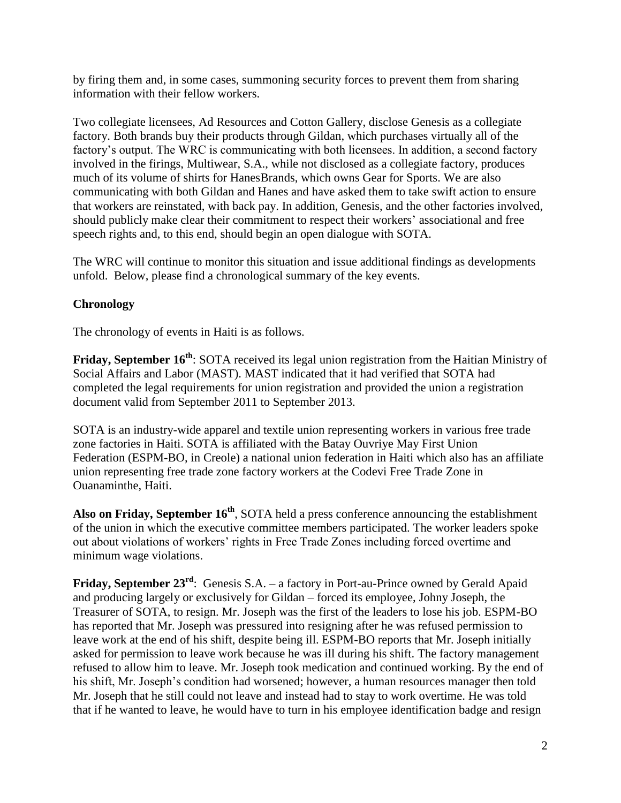by firing them and, in some cases, summoning security forces to prevent them from sharing information with their fellow workers.

Two collegiate licensees, Ad Resources and Cotton Gallery, disclose Genesis as a collegiate factory. Both brands buy their products through Gildan, which purchases virtually all of the factory's output. The WRC is communicating with both licensees. In addition, a second factory involved in the firings, Multiwear, S.A., while not disclosed as a collegiate factory, produces much of its volume of shirts for HanesBrands, which owns Gear for Sports. We are also communicating with both Gildan and Hanes and have asked them to take swift action to ensure that workers are reinstated, with back pay. In addition, Genesis, and the other factories involved, should publicly make clear their commitment to respect their workers' associational and free speech rights and, to this end, should begin an open dialogue with SOTA.

The WRC will continue to monitor this situation and issue additional findings as developments unfold. Below, please find a chronological summary of the key events.

## **Chronology**

The chronology of events in Haiti is as follows.

**Friday, September 16th** : SOTA received its legal union registration from the Haitian Ministry of Social Affairs and Labor (MAST). MAST indicated that it had verified that SOTA had completed the legal requirements for union registration and provided the union a registration document valid from September 2011 to September 2013.

SOTA is an industry-wide apparel and textile union representing workers in various free trade zone factories in Haiti. SOTA is affiliated with the Batay Ouvriye May First Union Federation (ESPM-BO, in Creole) a national union federation in Haiti which also has an affiliate union representing free trade zone factory workers at the Codevi Free Trade Zone in Ouanaminthe, Haiti.

**Also on Friday, September 16th** , SOTA held a press conference announcing the establishment of the union in which the executive committee members participated. The worker leaders spoke out about violations of workers' rights in Free Trade Zones including forced overtime and minimum wage violations.

Friday, September 23<sup>rd</sup>: Genesis S.A. – a factory in Port-au-Prince owned by Gerald Apaid and producing largely or exclusively for Gildan – forced its employee, Johny Joseph, the Treasurer of SOTA, to resign. Mr. Joseph was the first of the leaders to lose his job. ESPM-BO has reported that Mr. Joseph was pressured into resigning after he was refused permission to leave work at the end of his shift, despite being ill. ESPM-BO reports that Mr. Joseph initially asked for permission to leave work because he was ill during his shift. The factory management refused to allow him to leave. Mr. Joseph took medication and continued working. By the end of his shift, Mr. Joseph's condition had worsened; however, a human resources manager then told Mr. Joseph that he still could not leave and instead had to stay to work overtime. He was told that if he wanted to leave, he would have to turn in his employee identification badge and resign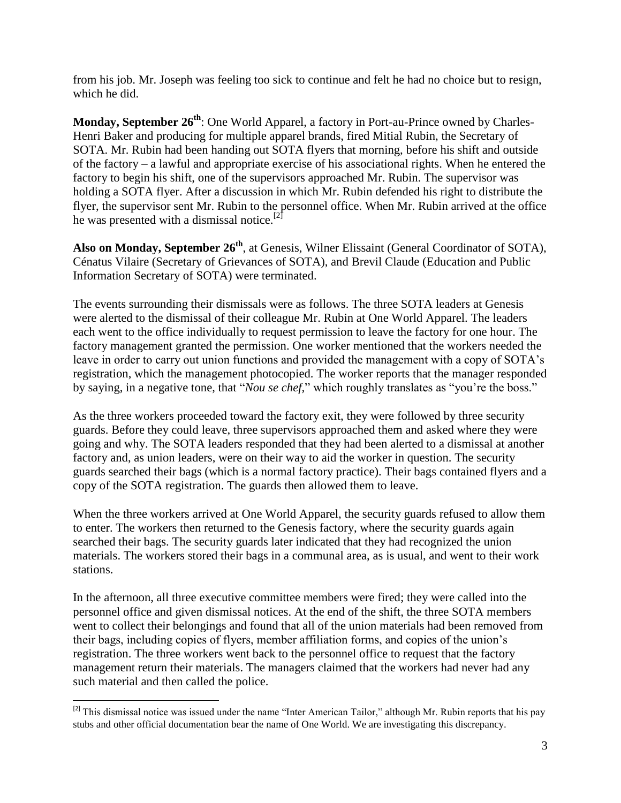from his job. Mr. Joseph was feeling too sick to continue and felt he had no choice but to resign, which he did.

**Monday, September 26th**: One World Apparel, a factory in Port-au-Prince owned by Charles-Henri Baker and producing for multiple apparel brands, fired Mitial Rubin, the Secretary of SOTA. Mr. Rubin had been handing out SOTA flyers that morning, before his shift and outside of the factory – a lawful and appropriate exercise of his associational rights. When he entered the factory to begin his shift, one of the supervisors approached Mr. Rubin. The supervisor was holding a SOTA flyer. After a discussion in which Mr. Rubin defended his right to distribute the flyer, the supervisor sent Mr. Rubin to the personnel office. When Mr. Rubin arrived at the office he was presented with a dismissal notice.<sup>[2]</sup>

Also on Monday, September 26<sup>th</sup>, at Genesis, Wilner Elissaint (General Coordinator of SOTA), Cénatus Vilaire (Secretary of Grievances of SOTA), and Brevil Claude (Education and Public Information Secretary of SOTA) were terminated.

The events surrounding their dismissals were as follows. The three SOTA leaders at Genesis were alerted to the dismissal of their colleague Mr. Rubin at One World Apparel. The leaders each went to the office individually to request permission to leave the factory for one hour. The factory management granted the permission. One worker mentioned that the workers needed the leave in order to carry out union functions and provided the management with a copy of SOTA's registration, which the management photocopied. The worker reports that the manager responded by saying, in a negative tone, that "*Nou se chef,*" which roughly translates as "you're the boss."

As the three workers proceeded toward the factory exit, they were followed by three security guards. Before they could leave, three supervisors approached them and asked where they were going and why. The SOTA leaders responded that they had been alerted to a dismissal at another factory and, as union leaders, were on their way to aid the worker in question. The security guards searched their bags (which is a normal factory practice). Their bags contained flyers and a copy of the SOTA registration. The guards then allowed them to leave.

When the three workers arrived at One World Apparel, the security guards refused to allow them to enter. The workers then returned to the Genesis factory, where the security guards again searched their bags. The security guards later indicated that they had recognized the union materials. The workers stored their bags in a communal area, as is usual, and went to their work stations.

In the afternoon, all three executive committee members were fired; they were called into the personnel office and given dismissal notices. At the end of the shift, the three SOTA members went to collect their belongings and found that all of the union materials had been removed from their bags, including copies of flyers, member affiliation forms, and copies of the union's registration. The three workers went back to the personnel office to request that the factory management return their materials. The managers claimed that the workers had never had any such material and then called the police.

l  $^{[2]}$  This dismissal notice was issued under the name "Inter American Tailor," although Mr. Rubin reports that his pay stubs and other official documentation bear the name of One World. We are investigating this discrepancy.